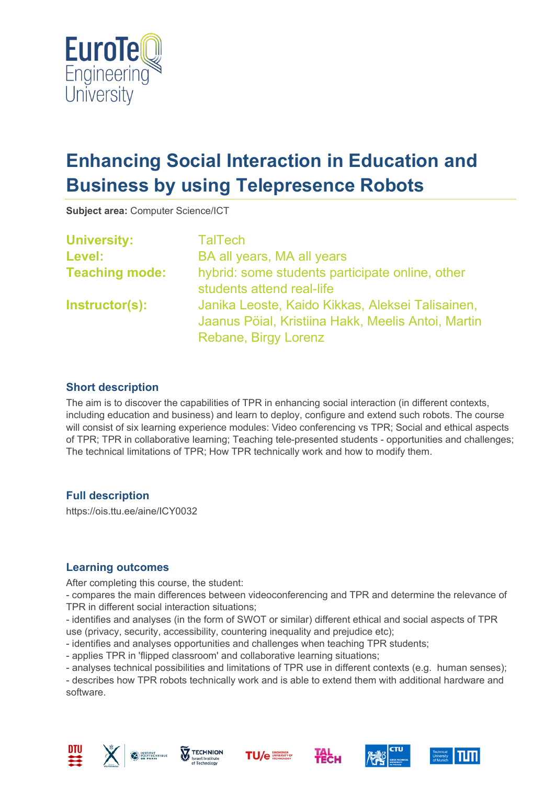

# **Enhancing Social Interaction in Education and Business by using Telepresence Robots**

**Subject area:** Computer Science/ICT

| <b>University:</b>    | <b>TalTech</b>                                     |
|-----------------------|----------------------------------------------------|
| Level:                | BA all years, MA all years                         |
| <b>Teaching mode:</b> | hybrid: some students participate online, other    |
|                       | students attend real-life                          |
| Instructor(s):        | Janika Leoste, Kaido Kikkas, Aleksei Talisainen,   |
|                       | Jaanus Pöial, Kristiina Hakk, Meelis Antoi, Martin |
|                       | Rebane, Birgy Lorenz                               |

# **Short description**

The aim is to discover the capabilities of TPR in enhancing social interaction (in different contexts, including education and business) and learn to deploy, configure and extend such robots. The course will consist of six learning experience modules: Video conferencing vs TPR; Social and ethical aspects of TPR; TPR in collaborative learning; Teaching tele-presented students - opportunities and challenges; The technical limitations of TPR; How TPR technically work and how to modify them.

### **Full description**

https://ois.ttu.ee/aine/ICY0032

### **Learning outcomes**

After completing this course, the student:

- compares the main differences between videoconferencing and TPR and determine the relevance of TPR in different social interaction situations;

- identifies and analyses (in the form of SWOT or similar) different ethical and social aspects of TPR use (privacy, security, accessibility, countering inequality and prejudice etc);

- identifies and analyses opportunities and challenges when teaching TPR students;

- applies TPR in 'flipped classroom' and collaborative learning situations;

- analyses technical possibilities and limitations of TPR use in different contexts (e.g. human senses);

- describes how TPR robots technically work and is able to extend them with additional hardware and software.













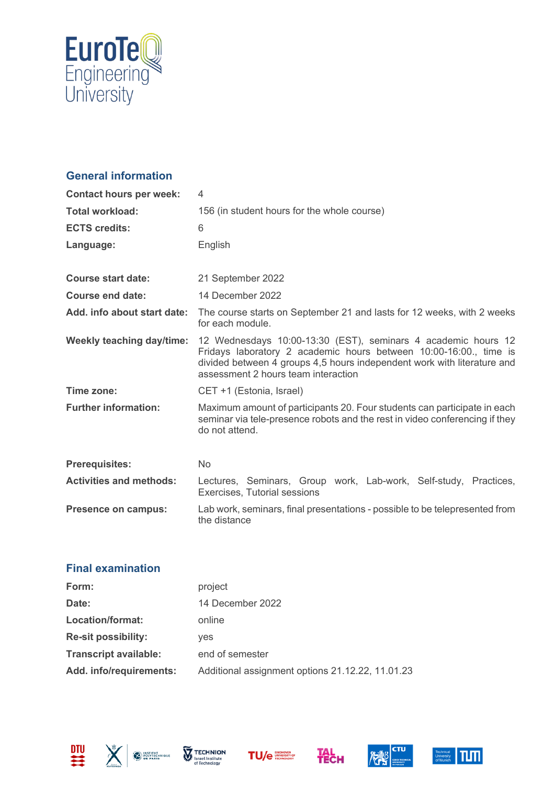

# **General information**

| <b>Contact hours per week:</b> | 4                                                                                                                                                                                                                                                    |
|--------------------------------|------------------------------------------------------------------------------------------------------------------------------------------------------------------------------------------------------------------------------------------------------|
| <b>Total workload:</b>         | 156 (in student hours for the whole course)                                                                                                                                                                                                          |
| <b>ECTS credits:</b>           | 6                                                                                                                                                                                                                                                    |
| Language:                      | English                                                                                                                                                                                                                                              |
|                                |                                                                                                                                                                                                                                                      |
| Course start date:             | 21 September 2022                                                                                                                                                                                                                                    |
| Course end date:               | 14 December 2022                                                                                                                                                                                                                                     |
| Add. info about start date:    | The course starts on September 21 and lasts for 12 weeks, with 2 weeks<br>for each module.                                                                                                                                                           |
| Weekly teaching day/time:      | 12 Wednesdays 10:00-13:30 (EST), seminars 4 academic hours 12<br>Fridays laboratory 2 academic hours between 10:00-16:00., time is<br>divided between 4 groups 4,5 hours independent work with literature and<br>assessment 2 hours team interaction |
| Time zone:                     | CET +1 (Estonia, Israel)                                                                                                                                                                                                                             |
| <b>Further information:</b>    | Maximum amount of participants 20. Four students can participate in each<br>seminar via tele-presence robots and the rest in video conferencing if they<br>do not attend.                                                                            |
| <b>Prerequisites:</b>          | <b>No</b>                                                                                                                                                                                                                                            |
| <b>Activities and methods:</b> | Lectures, Seminars, Group work, Lab-work, Self-study, Practices,<br>Exercises, Tutorial sessions                                                                                                                                                     |
| <b>Presence on campus:</b>     | Lab work, seminars, final presentations - possible to be telepresented from<br>the distance                                                                                                                                                          |

### **Final examination**

| Form:                        | project                                          |
|------------------------------|--------------------------------------------------|
| Date:                        | 14 December 2022                                 |
| Location/format:             | online                                           |
| <b>Re-sit possibility:</b>   | <b>ves</b>                                       |
| <b>Transcript available:</b> | end of semester                                  |
| Add. info/requirements:      | Additional assignment options 21.12.22, 11.01.23 |